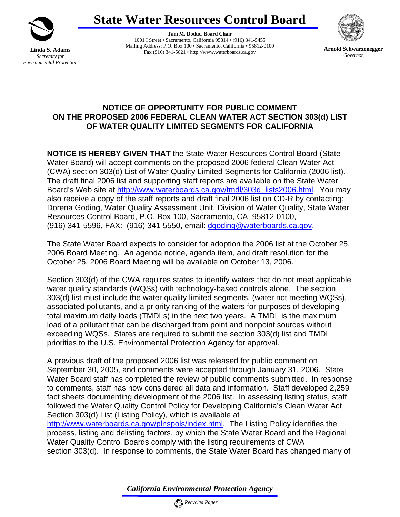

**Linda S. Adams**  *Secretary for Environmental Protection*  **State Water Resources Control Board** 

**Tam M. Doduc, Board Chair**  1001 I Street • Sacramento, California 95814 • (916) 341-5455 Mailing Address: P.O. Box 100 • Sacramento, California • 95812-0100 Fax (916) 341-5621 • http://www.waterboards.ca.gov **Arnold Schwarzenegger**



*Governor* 

## **NOTICE OF OPPORTUNITY FOR PUBLIC COMMENT ON THE PROPOSED 2006 FEDERAL CLEAN WATER ACT SECTION 303(d) LIST OF WATER QUALITY LIMITED SEGMENTS FOR CALIFORNIA**

**NOTICE IS HEREBY GIVEN THAT** the State Water Resources Control Board (State Water Board) will accept comments on the proposed 2006 federal Clean Water Act (CWA) section 303(d) List of Water Quality Limited Segments for California (2006 list). The draft final 2006 list and supporting staff reports are available on the State Water Board's Web site at [http://www.waterboards.ca.gov/tmdl/303d\\_lists2006.html.](http://www.waterboards.ca.gov/tmdl/303d_lists2006.html) You may also receive a copy of the staff reports and draft final 2006 list on CD-R by contacting: Dorena Goding, Water Quality Assessment Unit, Division of Water Quality, State Water Resources Control Board, P.O. Box 100, Sacramento, CA 95812-0100, (916) 341-5596, FAX: (916) 341-5550, email: [dgoding@waterboards.ca.gov.](mailto:dgoding@waterboards.ca.gov)

The State Water Board expects to consider for adoption the 2006 list at the October 25, 2006 Board Meeting. An agenda notice, agenda item, and draft resolution for the October 25, 2006 Board Meeting will be available on October 13, 2006.

Section 303(d) of the CWA requires states to identify waters that do not meet applicable water quality standards (WQSs) with technology-based controls alone. The section 303(d) list must include the water quality limited segments, (water not meeting WQSs), associated pollutants, and a priority ranking of the waters for purposes of developing total maximum daily loads (TMDLs) in the next two years. A TMDL is the maximum load of a pollutant that can be discharged from point and nonpoint sources without exceeding WQSs. States are required to submit the section 303(d) list and TMDL priorities to the U.S. Environmental Protection Agency for approval.

A previous draft of the proposed 2006 list was released for public comment on September 30, 2005, and comments were accepted through January 31, 2006. State Water Board staff has completed the review of public comments submitted. In response to comments, staff has now considered all data and information. Staff developed 2,259 fact sheets documenting development of the 2006 list. In assessing listing status, staff followed the Water Quality Control Policy for Developing California's Clean Water Act Section 303(d) List (Listing Policy), which is available at

<http://www.waterboards.ca.gov/plnspols/index.html>. The Listing Policy identifies the process, listing and delisting factors, by which the State Water Board and the Regional Water Quality Control Boards comply with the listing requirements of CWA section 303(d). In response to comments, the State Water Board has changed many of

*California Environmental Protection Agency*